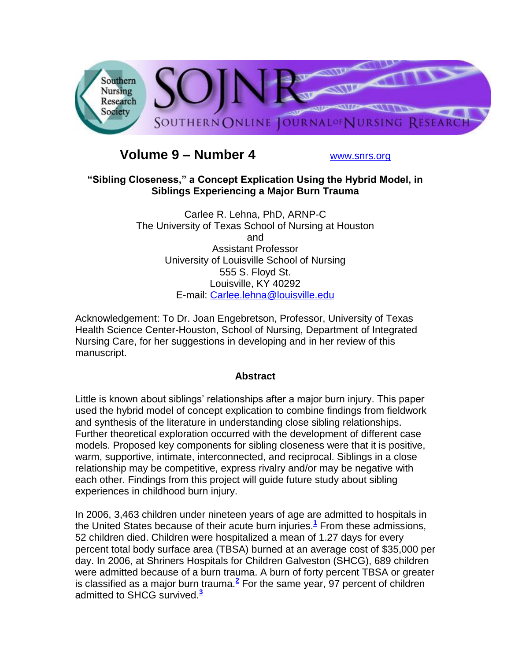

# **Volume 9 – Number 4** [www.snrs.org](http://www.snrs.org/)

# **"Sibling Closeness," a Concept Explication Using the Hybrid Model, in Siblings Experiencing a Major Burn Trauma**

Carlee R. Lehna, PhD, ARNP-C The University of Texas School of Nursing at Houston and Assistant Professor University of Louisville School of Nursing 555 S. Floyd St. Louisville, KY 40292 E-mail: [Carlee.lehna@louisville.edu](mailto:Carlee.lehna@louisville.edu)

Acknowledgement: To Dr. Joan Engebretson, Professor, University of Texas Health Science Center-Houston, School of Nursing, Department of Integrated Nursing Care, for her suggestions in developing and in her review of this manuscript.

# **Abstract**

Little is known about siblings' relationships after a major burn injury. This paper used the hybrid model of concept explication to combine findings from fieldwork and synthesis of the literature in understanding close sibling relationships. Further theoretical exploration occurred with the development of different case models. Proposed key components for sibling closeness were that it is positive, warm, supportive, intimate, interconnected, and reciprocal. Siblings in a close relationship may be competitive, express rivalry and/or may be negative with each other. Findings from this project will guide future study about sibling experiences in childhood burn injury.

In 2006, 3,463 children under nineteen years of age are admitted to hospitals in the United States because of their acute burn injuries.**[1](http://snrs.org/publications/SOJNR_articles2/n)** From these admissions, 52 children died. Children were hospitalized a mean of 1.27 days for every percent total body surface area (TBSA) burned at an average cost of \$35,000 per day. In 2006, at Shriners Hospitals for Children Galveston (SHCG), 689 children were admitted because of a burn trauma. A burn of forty percent TBSA or greater is classified as a major burn trauma.**[2](http://snrs.org/publications/SOJNR_articles2/n)** For the same year, 97 percent of children admitted to SHCG survived.**[3](http://snrs.org/publications/SOJNR_articles2/n)**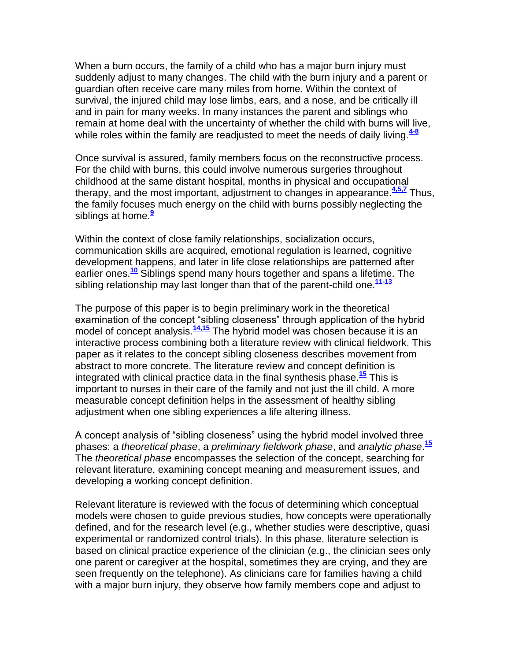When a burn occurs, the family of a child who has a major burn injury must suddenly adjust to many changes. The child with the burn injury and a parent or guardian often receive care many miles from home. Within the context of survival, the injured child may lose limbs, ears, and a nose, and be critically ill and in pain for many weeks. In many instances the parent and siblings who remain at home deal with the uncertainty of whether the child with burns will live, while roles within the family are readjusted to meet the needs of daily living.<sup>[4-8](http://snrs.org/publications/SOJNR_articles2/n)</sup>

Once survival is assured, family members focus on the reconstructive process. For the child with burns, this could involve numerous surgeries throughout childhood at the same distant hospital, months in physical and occupational therapy, and the most important, adjustment to changes in appearance.**[4,5,7](http://snrs.org/publications/SOJNR_articles2/n)** Thus, the family focuses much energy on the child with burns possibly neglecting the siblings at home.**[9](http://snrs.org/publications/SOJNR_articles2/n)**

Within the context of close family relationships, socialization occurs, communication skills are acquired, emotional regulation is learned, cognitive development happens, and later in life close relationships are patterned after earlier ones.**[10](http://snrs.org/publications/SOJNR_articles2/n)** Siblings spend many hours together and spans a lifetime. The sibling relationship may last longer than that of the parent-child one.**[11-13](http://snrs.org/publications/SOJNR_articles2/n)**

The purpose of this paper is to begin preliminary work in the theoretical examination of the concept "sibling closeness" through application of the hybrid model of concept analysis.**[14,15](http://snrs.org/publications/SOJNR_articles2/n)** The hybrid model was chosen because it is an interactive process combining both a literature review with clinical fieldwork. This paper as it relates to the concept sibling closeness describes movement from abstract to more concrete. The literature review and concept definition is integrated with clinical practice data in the final synthesis phase.**[15](http://snrs.org/publications/SOJNR_articles2/n)** This is important to nurses in their care of the family and not just the ill child. A more measurable concept definition helps in the assessment of healthy sibling adjustment when one sibling experiences a life altering illness.

A concept analysis of "sibling closeness" using the hybrid model involved three phases: a *theoretical phase*, a *preliminary fieldwork phase*, and *analytic phase*. **[15](http://snrs.org/publications/SOJNR_articles2/n)** The *theoretical phase* encompasses the selection of the concept, searching for relevant literature, examining concept meaning and measurement issues, and developing a working concept definition.

Relevant literature is reviewed with the focus of determining which conceptual models were chosen to guide previous studies, how concepts were operationally defined, and for the research level (e.g., whether studies were descriptive, quasi experimental or randomized control trials). In this phase, literature selection is based on clinical practice experience of the clinician (e.g., the clinician sees only one parent or caregiver at the hospital, sometimes they are crying, and they are seen frequently on the telephone). As clinicians care for families having a child with a major burn injury, they observe how family members cope and adjust to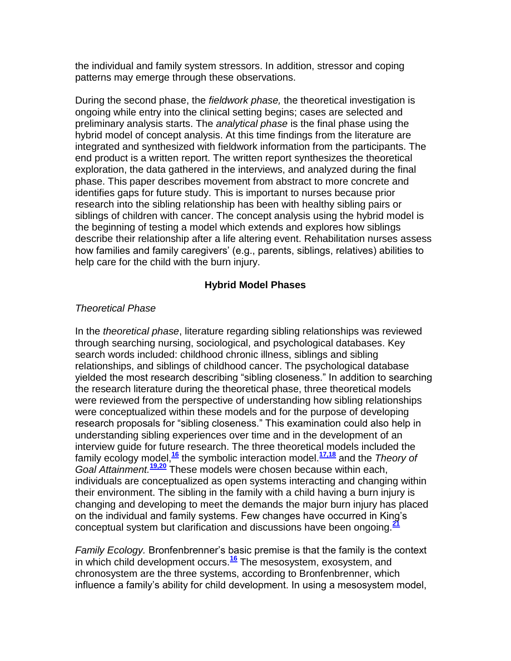the individual and family system stressors. In addition, stressor and coping patterns may emerge through these observations.

During the second phase, the *fieldwork phase,* the theoretical investigation is ongoing while entry into the clinical setting begins; cases are selected and preliminary analysis starts. The *analytical phase* is the final phase using the hybrid model of concept analysis. At this time findings from the literature are integrated and synthesized with fieldwork information from the participants. The end product is a written report. The written report synthesizes the theoretical exploration, the data gathered in the interviews, and analyzed during the final phase. This paper describes movement from abstract to more concrete and identifies gaps for future study. This is important to nurses because prior research into the sibling relationship has been with healthy sibling pairs or siblings of children with cancer. The concept analysis using the hybrid model is the beginning of testing a model which extends and explores how siblings describe their relationship after a life altering event. Rehabilitation nurses assess how families and family caregivers' (e.g., parents, siblings, relatives) abilities to help care for the child with the burn injury.

# **Hybrid Model Phases**

#### *Theoretical Phase*

In the *theoretical phase*, literature regarding sibling relationships was reviewed through searching nursing, sociological, and psychological databases. Key search words included: childhood chronic illness, siblings and sibling relationships, and siblings of childhood cancer. The psychological database yielded the most research describing "sibling closeness." In addition to searching the research literature during the theoretical phase, three theoretical models were reviewed from the perspective of understanding how sibling relationships were conceptualized within these models and for the purpose of developing research proposals for "sibling closeness." This examination could also help in understanding sibling experiences over time and in the development of an interview guide for future research. The three theoretical models included the family ecology model,**[16](http://snrs.org/publications/SOJNR_articles2/n)** the symbolic interaction model.**[17,18](http://snrs.org/publications/SOJNR_articles2/n)** and the *Theory of Goal Attainment.***[19,20](http://snrs.org/publications/SOJNR_articles2/n)** These models were chosen because within each, individuals are conceptualized as open systems interacting and changing within their environment. The sibling in the family with a child having a burn injury is changing and developing to meet the demands the major burn injury has placed on the individual and family systems. Few changes have occurred in King"s conceptual system but clarification and discussions have been ongoing.**[21](http://snrs.org/publications/SOJNR_articles2/n)**

*Family Ecology.* Bronfenbrenner"s basic premise is that the family is the context in which child development occurs.**[16](http://snrs.org/publications/SOJNR_articles2/n)** The mesosystem, exosystem, and chronosystem are the three systems, according to Bronfenbrenner, which influence a family"s ability for child development. In using a mesosystem model,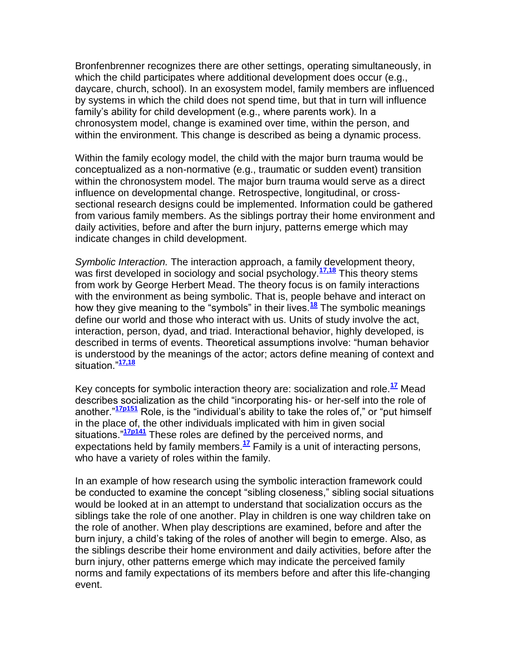Bronfenbrenner recognizes there are other settings, operating simultaneously, in which the child participates where additional development does occur (e.g., daycare, church, school). In an exosystem model, family members are influenced by systems in which the child does not spend time, but that in turn will influence family"s ability for child development (e.g., where parents work). In a chronosystem model, change is examined over time, within the person, and within the environment. This change is described as being a dynamic process.

Within the family ecology model, the child with the major burn trauma would be conceptualized as a non-normative (e.g., traumatic or sudden event) transition within the chronosystem model. The major burn trauma would serve as a direct influence on developmental change. Retrospective, longitudinal, or crosssectional research designs could be implemented. Information could be gathered from various family members. As the siblings portray their home environment and daily activities, before and after the burn injury, patterns emerge which may indicate changes in child development.

*Symbolic Interaction.* The interaction approach, a family development theory, was first developed in sociology and social psychology.**[17,18](http://snrs.org/publications/SOJNR_articles2/n)** This theory stems from work by George Herbert Mead. The theory focus is on family interactions with the environment as being symbolic. That is, people behave and interact on how they give meaning to the "symbols" in their lives.**[18](http://snrs.org/publications/SOJNR_articles2/n)** The symbolic meanings define our world and those who interact with us. Units of study involve the act, interaction, person, dyad, and triad. Interactional behavior, highly developed, is described in terms of events. Theoretical assumptions involve: "human behavior is understood by the meanings of the actor; actors define meaning of context and situation."**[17,18](http://snrs.org/publications/SOJNR_articles2/n)**

Key concepts for symbolic interaction theory are: socialization and role.**[17](http://snrs.org/publications/SOJNR_articles2/n)** Mead describes socialization as the child "incorporating his- or her-self into the role of another."<sup>[17p151](http://snrs.org/publications/SOJNR_articles2/n)</sup> Role, is the "individual's ability to take the roles of," or "put himself in the place of, the other individuals implicated with him in given social situations."**[17p141](http://snrs.org/publications/SOJNR_articles2/n)** These roles are defined by the perceived norms, and expectations held by family members.**[17](http://snrs.org/publications/SOJNR_articles2/n)** Family is a unit of interacting persons, who have a variety of roles within the family.

In an example of how research using the symbolic interaction framework could be conducted to examine the concept "sibling closeness," sibling social situations would be looked at in an attempt to understand that socialization occurs as the siblings take the role of one another. Play in children is one way children take on the role of another. When play descriptions are examined, before and after the burn injury, a child"s taking of the roles of another will begin to emerge. Also, as the siblings describe their home environment and daily activities, before after the burn injury, other patterns emerge which may indicate the perceived family norms and family expectations of its members before and after this life-changing event.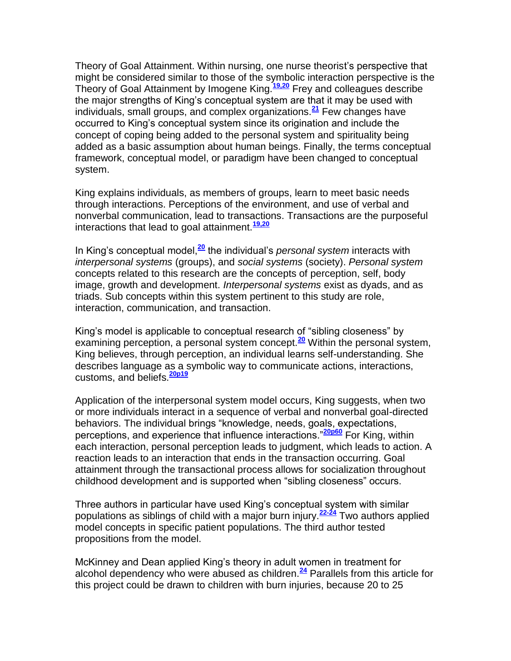Theory of Goal Attainment. Within nursing, one nurse theorist's perspective that might be considered similar to those of the symbolic interaction perspective is the Theory of Goal Attainment by Imogene King.**[19,20](http://snrs.org/publications/SOJNR_articles2/n)** Frey and colleagues describe the major strengths of King"s conceptual system are that it may be used with individuals, small groups, and complex organizations.**[21](http://snrs.org/publications/SOJNR_articles2/n)** Few changes have occurred to King"s conceptual system since its origination and include the concept of coping being added to the personal system and spirituality being added as a basic assumption about human beings. Finally, the terms conceptual framework, conceptual model, or paradigm have been changed to conceptual system.

King explains individuals, as members of groups, learn to meet basic needs through interactions. Perceptions of the environment, and use of verbal and nonverbal communication, lead to transactions. Transactions are the purposeful interactions that lead to goal attainment.**[19,20](http://snrs.org/publications/SOJNR_articles2/n)**

In King"s conceptual model,**[20](http://snrs.org/publications/SOJNR_articles2/n)** the individual"s *personal system* interacts with *interpersonal systems* (groups), and *social systems* (society). *Personal system* concepts related to this research are the concepts of perception, self, body image, growth and development. *Interpersonal systems* exist as dyads, and as triads. Sub concepts within this system pertinent to this study are role, interaction, communication, and transaction.

King"s model is applicable to conceptual research of "sibling closeness" by examining perception, a personal system concept.**[20](http://snrs.org/publications/SOJNR_articles2/n)** Within the personal system, King believes, through perception, an individual learns self-understanding. She describes language as a symbolic way to communicate actions, interactions, customs, and beliefs.**[20p19](http://snrs.org/publications/SOJNR_articles2/n)**

Application of the interpersonal system model occurs, King suggests, when two or more individuals interact in a sequence of verbal and nonverbal goal-directed behaviors. The individual brings "knowledge, needs, goals, expectations, perceptions, and experience that influence interactions."**[20p60](http://snrs.org/publications/SOJNR_articles2/n)** For King, within each interaction, personal perception leads to judgment, which leads to action. A reaction leads to an interaction that ends in the transaction occurring. Goal attainment through the transactional process allows for socialization throughout childhood development and is supported when "sibling closeness" occurs.

Three authors in particular have used King"s conceptual system with similar populations as siblings of child with a major burn injury.**[22-24](http://snrs.org/publications/SOJNR_articles2/n)** Two authors applied model concepts in specific patient populations. The third author tested propositions from the model.

McKinney and Dean applied King"s theory in adult women in treatment for alcohol dependency who were abused as children.**[24](http://snrs.org/publications/SOJNR_articles2/n)** Parallels from this article for this project could be drawn to children with burn injuries, because 20 to 25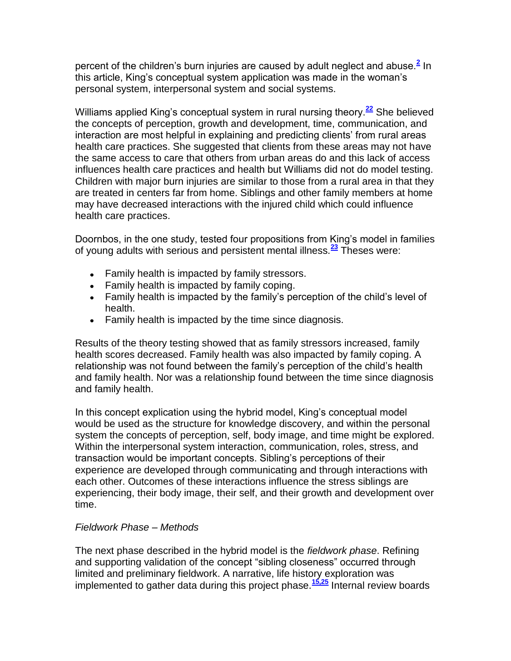percent of the children's burn injuries are caused by adult neglect and abuse.<sup>[2](http://snrs.org/publications/SOJNR_articles2/n)</sup> In this article, King's conceptual system application was made in the woman's personal system, interpersonal system and social systems.

Williams applied King"s conceptual system in rural nursing theory.**[22](http://snrs.org/publications/SOJNR_articles2/n)** She believed the concepts of perception, growth and development, time, communication, and interaction are most helpful in explaining and predicting clients' from rural areas health care practices. She suggested that clients from these areas may not have the same access to care that others from urban areas do and this lack of access influences health care practices and health but Williams did not do model testing. Children with major burn injuries are similar to those from a rural area in that they are treated in centers far from home. Siblings and other family members at home may have decreased interactions with the injured child which could influence health care practices.

Doornbos, in the one study, tested four propositions from King"s model in families of young adults with serious and persistent mental illness.**[23](http://snrs.org/publications/SOJNR_articles2/n)** Theses were:

- Family health is impacted by family stressors.
- Family health is impacted by family coping.
- Family health is impacted by the family's perception of the child's level of health.
- Family health is impacted by the time since diagnosis.

Results of the theory testing showed that as family stressors increased, family health scores decreased. Family health was also impacted by family coping. A relationship was not found between the family"s perception of the child"s health and family health. Nor was a relationship found between the time since diagnosis and family health.

In this concept explication using the hybrid model, King"s conceptual model would be used as the structure for knowledge discovery, and within the personal system the concepts of perception, self, body image, and time might be explored. Within the interpersonal system interaction, communication, roles, stress, and transaction would be important concepts. Sibling"s perceptions of their experience are developed through communicating and through interactions with each other. Outcomes of these interactions influence the stress siblings are experiencing, their body image, their self, and their growth and development over time.

# *Fieldwork Phase – Methods*

The next phase described in the hybrid model is the *fieldwork phase*. Refining and supporting validation of the concept "sibling closeness" occurred through limited and preliminary fieldwork. A narrative, life history exploration was implemented to gather data during this project phase.**[15,25](http://snrs.org/publications/SOJNR_articles2/n)** Internal review boards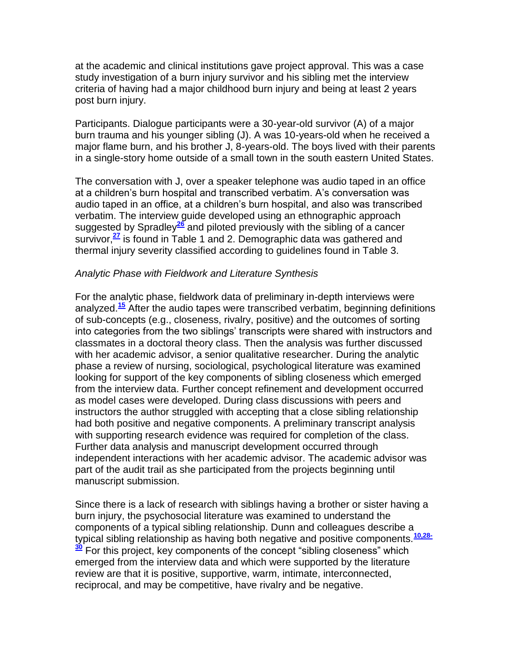at the academic and clinical institutions gave project approval. This was a case study investigation of a burn injury survivor and his sibling met the interview criteria of having had a major childhood burn injury and being at least 2 years post burn injury.

Participants. Dialogue participants were a 30-year-old survivor (A) of a major burn trauma and his younger sibling (J). A was 10-years-old when he received a major flame burn, and his brother J, 8-years-old. The boys lived with their parents in a single-story home outside of a small town in the south eastern United States.

The conversation with J, over a speaker telephone was audio taped in an office at a children"s burn hospital and transcribed verbatim. A"s conversation was audio taped in an office, at a children"s burn hospital, and also was transcribed verbatim. The interview guide developed using an ethnographic approach suggested by Spradley**[26](http://snrs.org/publications/SOJNR_articles2/n)** and piloted previously with the sibling of a cancer survivor,**[27](http://snrs.org/publications/SOJNR_articles2/n)** is found in Table 1 and 2. Demographic data was gathered and thermal injury severity classified according to guidelines found in Table 3.

#### *Analytic Phase with Fieldwork and Literature Synthesis*

For the analytic phase, fieldwork data of preliminary in-depth interviews were analyzed.**[15](http://snrs.org/publications/SOJNR_articles2/n)** After the audio tapes were transcribed verbatim, beginning definitions of sub-concepts (e.g., closeness, rivalry, positive) and the outcomes of sorting into categories from the two siblings" transcripts were shared with instructors and classmates in a doctoral theory class. Then the analysis was further discussed with her academic advisor, a senior qualitative researcher. During the analytic phase a review of nursing, sociological, psychological literature was examined looking for support of the key components of sibling closeness which emerged from the interview data. Further concept refinement and development occurred as model cases were developed. During class discussions with peers and instructors the author struggled with accepting that a close sibling relationship had both positive and negative components. A preliminary transcript analysis with supporting research evidence was required for completion of the class. Further data analysis and manuscript development occurred through independent interactions with her academic advisor. The academic advisor was part of the audit trail as she participated from the projects beginning until manuscript submission.

Since there is a lack of research with siblings having a brother or sister having a burn injury, the psychosocial literature was examined to understand the components of a typical sibling relationship. Dunn and colleagues describe a typical sibling relationship as having both negative and positive components.**[10,28-](http://snrs.org/publications/SOJNR_articles2/n) [30](http://snrs.org/publications/SOJNR_articles2/n)** For this project, key components of the concept "sibling closeness" which emerged from the interview data and which were supported by the literature review are that it is positive, supportive, warm, intimate, interconnected, reciprocal, and may be competitive, have rivalry and be negative.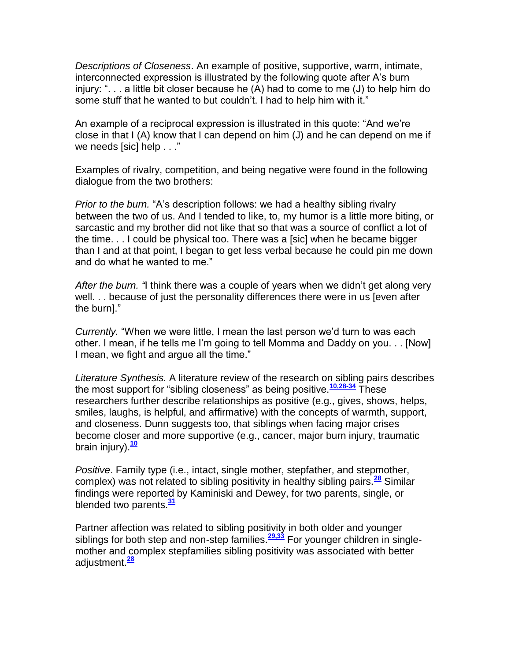*Descriptions of Closeness*. An example of positive, supportive, warm, intimate, interconnected expression is illustrated by the following quote after A"s burn injury: ". . . a little bit closer because he (A) had to come to me (J) to help him do some stuff that he wanted to but couldn"t. I had to help him with it."

An example of a reciprocal expression is illustrated in this quote: "And we"re close in that I (A) know that I can depend on him (J) and he can depend on me if we needs [sic] help . . ."

Examples of rivalry, competition, and being negative were found in the following dialogue from the two brothers:

*Prior to the burn.* "A's description follows: we had a healthy sibling rivalry between the two of us. And I tended to like, to, my humor is a little more biting, or sarcastic and my brother did not like that so that was a source of conflict a lot of the time. . . I could be physical too. There was a [sic] when he became bigger than I and at that point, I began to get less verbal because he could pin me down and do what he wanted to me."

*After the burn. "*I think there was a couple of years when we didn"t get along very well. . . because of just the personality differences there were in us [even after the burn]."

*Currently.* "When we were little, I mean the last person we"d turn to was each other. I mean, if he tells me I"m going to tell Momma and Daddy on you. . . [Now] I mean, we fight and argue all the time."

*Literature Synthesis.* A literature review of the research on sibling pairs describes the most support for "sibling closeness" as being positive.**[10,28-34](http://snrs.org/publications/SOJNR_articles2/n)** These researchers further describe relationships as positive (e.g., gives, shows, helps, smiles, laughs, is helpful, and affirmative) with the concepts of warmth, support, and closeness. Dunn suggests too, that siblings when facing major crises become closer and more supportive (e.g., cancer, major burn injury, traumatic brain injury).**[10](http://snrs.org/publications/SOJNR_articles2/n)**

*Positive*. Family type (i.e., intact, single mother, stepfather, and stepmother, complex) was not related to sibling positivity in healthy sibling pairs.**[28](http://snrs.org/publications/SOJNR_articles2/n)** Similar findings were reported by Kaminiski and Dewey, for two parents, single, or blended two parents.**[31](http://snrs.org/publications/SOJNR_articles2/n)**

Partner affection was related to sibling positivity in both older and younger siblings for both step and non-step families.**[29,33](http://snrs.org/publications/SOJNR_articles2/n)** For younger children in singlemother and complex stepfamilies sibling positivity was associated with better adjustment.**[28](http://snrs.org/publications/SOJNR_articles2/n)**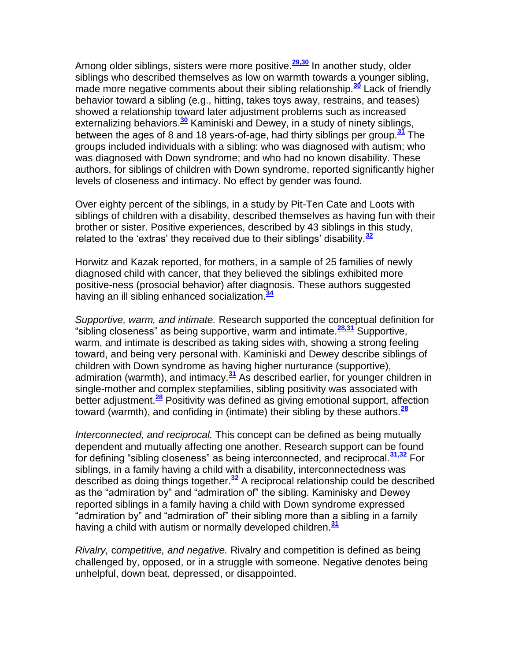Among older siblings, sisters were more positive.**[29,30](http://snrs.org/publications/SOJNR_articles2/n)** In another study, older siblings who described themselves as low on warmth towards a younger sibling, made more negative comments about their sibling relationship.**[30](http://snrs.org/publications/SOJNR_articles2/n)** Lack of friendly behavior toward a sibling (e.g., hitting, takes toys away, restrains, and teases) showed a relationship toward later adjustment problems such as increased externalizing behaviors.**[30](http://snrs.org/publications/SOJNR_articles2/n)** Kaminiski and Dewey, in a study of ninety siblings, between the ages of 8 and 18 years-of-age, had thirty siblings per group.**[31](http://snrs.org/publications/SOJNR_articles2/n)** The groups included individuals with a sibling: who was diagnosed with autism; who was diagnosed with Down syndrome; and who had no known disability. These authors, for siblings of children with Down syndrome, reported significantly higher levels of closeness and intimacy. No effect by gender was found.

Over eighty percent of the siblings, in a study by Pit-Ten Cate and Loots with siblings of children with a disability, described themselves as having fun with their brother or sister. Positive experiences, described by 43 siblings in this study, related to the "extras" they received due to their siblings" disability.**[32](http://snrs.org/publications/SOJNR_articles2/n)**

Horwitz and Kazak reported, for mothers, in a sample of 25 families of newly diagnosed child with cancer, that they believed the siblings exhibited more positive-ness (prosocial behavior) after diagnosis. These authors suggested having an ill sibling enhanced socialization.**[34](http://snrs.org/publications/SOJNR_articles2/n)**

*Supportive, warm, and intimate.* Research supported the conceptual definition for "sibling closeness" as being supportive, warm and intimate.**[28,31](http://snrs.org/publications/SOJNR_articles2/n)** Supportive, warm, and intimate is described as taking sides with, showing a strong feeling toward, and being very personal with. Kaminiski and Dewey describe siblings of children with Down syndrome as having higher nurturance (supportive), admiration (warmth), and intimacy.**[31](http://snrs.org/publications/SOJNR_articles2/n)** As described earlier, for younger children in single-mother and complex stepfamilies, sibling positivity was associated with better adjustment.**[28](http://snrs.org/publications/SOJNR_articles2/n)** Positivity was defined as giving emotional support, affection toward (warmth), and confiding in (intimate) their sibling by these authors.**[28](http://snrs.org/publications/SOJNR_articles2/n)**

*Interconnected, and reciprocal.* This concept can be defined as being mutually dependent and mutually affecting one another. Research support can be found for defining "sibling closeness" as being interconnected, and reciprocal.**[31,32](http://snrs.org/publications/SOJNR_articles2/n)** For siblings, in a family having a child with a disability, interconnectedness was described as doing things together.**[32](http://snrs.org/publications/SOJNR_articles2/n)** A reciprocal relationship could be described as the "admiration by" and "admiration of" the sibling. Kaminisky and Dewey reported siblings in a family having a child with Down syndrome expressed "admiration by" and "admiration of" their sibling more than a sibling in a family having a child with autism or normally developed children.**[31](http://snrs.org/publications/SOJNR_articles2/n)**

*Rivalry,* c*ompetitive, and negative.* Rivalry and competition is defined as being challenged by, opposed, or in a struggle with someone. Negative denotes being unhelpful, down beat, depressed, or disappointed.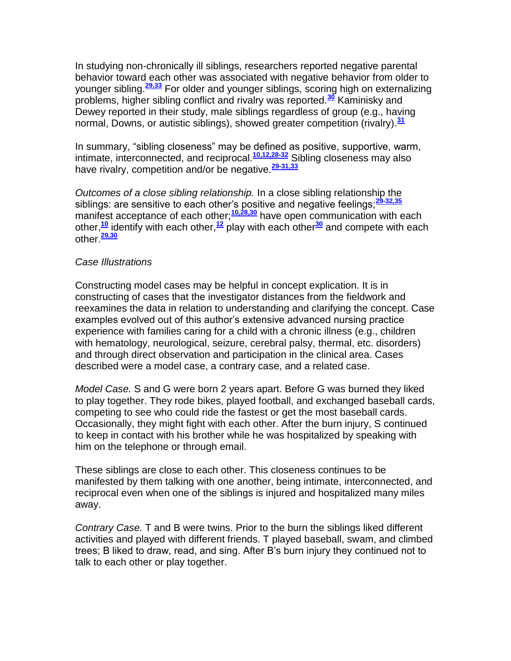In studying non-chronically ill siblings, researchers reported negative parental behavior toward each other was associated with negative behavior from older to younger sibling.**[29,33](http://snrs.org/publications/SOJNR_articles2/n)** For older and younger siblings, scoring high on externalizing problems, higher sibling conflict and rivalry was reported.**[30](http://snrs.org/publications/SOJNR_articles2/n)** Kaminisky and Dewey reported in their study, male siblings regardless of group (e.g., having normal, Downs, or autistic siblings), showed greater competition (rivalry).**[31](http://snrs.org/publications/SOJNR_articles2/n)**

In summary, "sibling closeness" may be defined as positive, supportive, warm, intimate, interconnected, and reciprocal.**[10,12,28-32](http://snrs.org/publications/SOJNR_articles2/n)** Sibling closeness may also have rivalry, competition and/or be negative.**[29-31,33](http://snrs.org/publications/SOJNR_articles2/n)**

*Outcomes of a close sibling relationship.* In a close sibling relationship the siblings: are sensitive to each other"s positive and negative feelings;**[29-32,35](http://snrs.org/publications/SOJNR_articles2/n)** manifest acceptance of each other;<sup>[10,28,30](http://snrs.org/publications/SOJNR_articles2/n)</sup> have open communication with each other,**[10](http://snrs.org/publications/SOJNR_articles2/n)** identify with each other,**[12](http://snrs.org/publications/SOJNR_articles2/n)** play with each other**[30](http://snrs.org/publications/SOJNR_articles2/n)** and compete with each other.**[29,30](http://snrs.org/publications/SOJNR_articles2/n)**

#### *Case Illustrations*

Constructing model cases may be helpful in concept explication. It is in constructing of cases that the investigator distances from the fieldwork and reexamines the data in relation to understanding and clarifying the concept. Case examples evolved out of this author"s extensive advanced nursing practice experience with families caring for a child with a chronic illness (e.g., children with hematology, neurological, seizure, cerebral palsy, thermal, etc. disorders) and through direct observation and participation in the clinical area. Cases described were a model case, a contrary case, and a related case.

*Model Case.* S and G were born 2 years apart. Before G was burned they liked to play together. They rode bikes, played football, and exchanged baseball cards, competing to see who could ride the fastest or get the most baseball cards. Occasionally, they might fight with each other. After the burn injury, S continued to keep in contact with his brother while he was hospitalized by speaking with him on the telephone or through email.

These siblings are close to each other. This closeness continues to be manifested by them talking with one another, being intimate, interconnected, and reciprocal even when one of the siblings is injured and hospitalized many miles away.

*Contrary Case.* T and B were twins. Prior to the burn the siblings liked different activities and played with different friends. T played baseball, swam, and climbed trees; B liked to draw, read, and sing. After B"s burn injury they continued not to talk to each other or play together.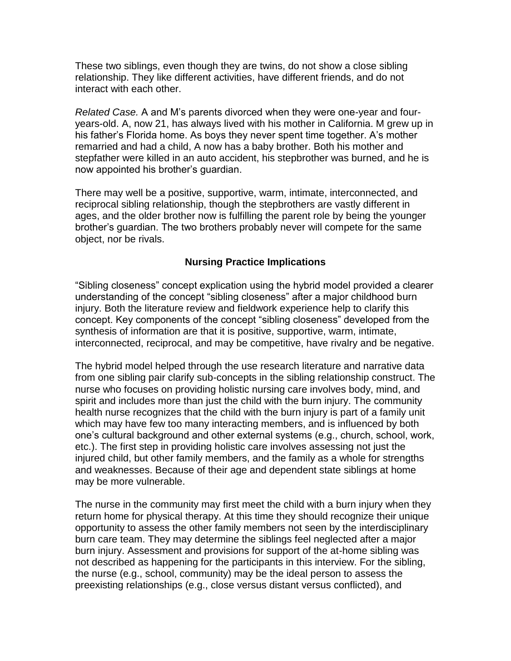These two siblings, even though they are twins, do not show a close sibling relationship. They like different activities, have different friends, and do not interact with each other.

*Related Case.* A and M"s parents divorced when they were one-year and fouryears-old. A, now 21, has always lived with his mother in California. M grew up in his father"s Florida home. As boys they never spent time together. A"s mother remarried and had a child, A now has a baby brother. Both his mother and stepfather were killed in an auto accident, his stepbrother was burned, and he is now appointed his brother"s guardian.

There may well be a positive, supportive, warm, intimate, interconnected, and reciprocal sibling relationship, though the stepbrothers are vastly different in ages, and the older brother now is fulfilling the parent role by being the younger brother"s guardian. The two brothers probably never will compete for the same object, nor be rivals.

# **Nursing Practice Implications**

"Sibling closeness" concept explication using the hybrid model provided a clearer understanding of the concept "sibling closeness" after a major childhood burn injury. Both the literature review and fieldwork experience help to clarify this concept. Key components of the concept "sibling closeness" developed from the synthesis of information are that it is positive, supportive, warm, intimate, interconnected, reciprocal, and may be competitive, have rivalry and be negative.

The hybrid model helped through the use research literature and narrative data from one sibling pair clarify sub-concepts in the sibling relationship construct. The nurse who focuses on providing holistic nursing care involves body, mind, and spirit and includes more than just the child with the burn injury. The community health nurse recognizes that the child with the burn injury is part of a family unit which may have few too many interacting members, and is influenced by both one"s cultural background and other external systems (e.g., church, school, work, etc.). The first step in providing holistic care involves assessing not just the injured child, but other family members, and the family as a whole for strengths and weaknesses. Because of their age and dependent state siblings at home may be more vulnerable.

The nurse in the community may first meet the child with a burn injury when they return home for physical therapy. At this time they should recognize their unique opportunity to assess the other family members not seen by the interdisciplinary burn care team. They may determine the siblings feel neglected after a major burn injury. Assessment and provisions for support of the at-home sibling was not described as happening for the participants in this interview. For the sibling, the nurse (e.g., school, community) may be the ideal person to assess the preexisting relationships (e.g., close versus distant versus conflicted), and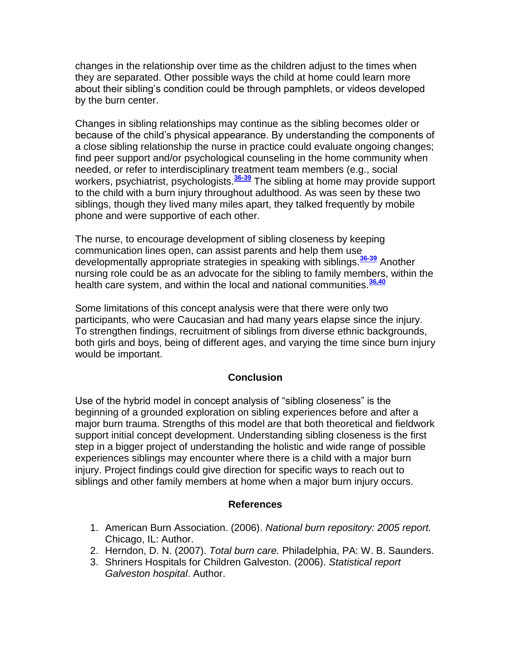changes in the relationship over time as the children adjust to the times when they are separated. Other possible ways the child at home could learn more about their sibling"s condition could be through pamphlets, or videos developed by the burn center.

Changes in sibling relationships may continue as the sibling becomes older or because of the child"s physical appearance. By understanding the components of a close sibling relationship the nurse in practice could evaluate ongoing changes; find peer support and/or psychological counseling in the home community when needed, or refer to interdisciplinary treatment team members (e.g., social workers, psychiatrist, psychologists.<sup>[36-39](http://snrs.org/publications/SOJNR_articles2/n)</sup> The sibling at home may provide support to the child with a burn injury throughout adulthood. As was seen by these two siblings, though they lived many miles apart, they talked frequently by mobile phone and were supportive of each other.

The nurse, to encourage development of sibling closeness by keeping communication lines open, can assist parents and help them use developmentally appropriate strategies in speaking with siblings.**[36-39](http://snrs.org/publications/SOJNR_articles2/n)** Another nursing role could be as an advocate for the sibling to family members, within the health care system, and within the local and national communities.**[36,40](http://snrs.org/publications/SOJNR_articles2/n)**

Some limitations of this concept analysis were that there were only two participants, who were Caucasian and had many years elapse since the injury. To strengthen findings, recruitment of siblings from diverse ethnic backgrounds, both girls and boys, being of different ages, and varying the time since burn injury would be important.

# **Conclusion**

Use of the hybrid model in concept analysis of "sibling closeness" is the beginning of a grounded exploration on sibling experiences before and after a major burn trauma. Strengths of this model are that both theoretical and fieldwork support initial concept development. Understanding sibling closeness is the first step in a bigger project of understanding the holistic and wide range of possible experiences siblings may encounter where there is a child with a major burn injury. Project findings could give direction for specific ways to reach out to siblings and other family members at home when a major burn injury occurs.

# **References**

- 1. American Burn Association. (2006). *National burn repository: 2005 report.* Chicago, IL: Author.
- 2. Herndon, D. N. (2007). *Total burn care.* Philadelphia, PA: W. B. Saunders.
- 3. Shriners Hospitals for Children Galveston. (2006). *Statistical report Galveston hospital*. Author.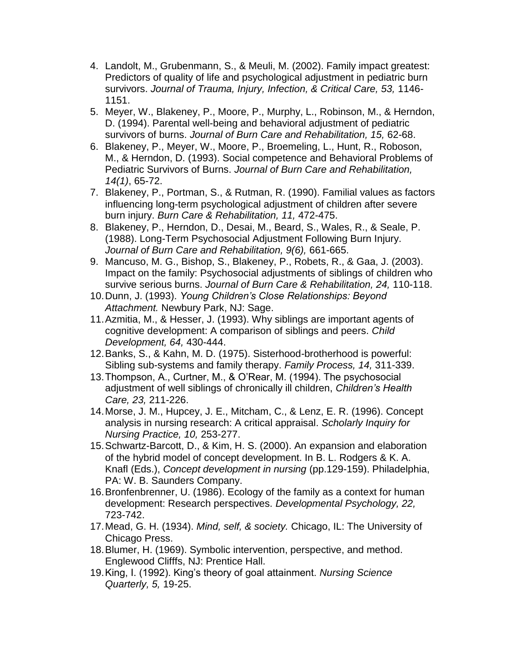- 4. Landolt, M., Grubenmann, S., & Meuli, M. (2002). Family impact greatest: Predictors of quality of life and psychological adjustment in pediatric burn survivors. *Journal of Trauma, Injury, Infection, & Critical Care, 53,* 1146- 1151.
- 5. Meyer, W., Blakeney, P., Moore, P., Murphy, L., Robinson, M., & Herndon, D. (1994). Parental well-being and behavioral adjustment of pediatric survivors of burns. *Journal of Burn Care and Rehabilitation, 15,* 62-68.
- 6. Blakeney, P., Meyer, W., Moore, P., Broemeling, L., Hunt, R., Roboson, M., & Herndon, D. (1993). Social competence and Behavioral Problems of Pediatric Survivors of Burns. *Journal of Burn Care and Rehabilitation, 14(1)*, 65-72.
- 7. Blakeney, P., Portman, S., & Rutman, R. (1990). Familial values as factors influencing long-term psychological adjustment of children after severe burn injury. *Burn Care & Rehabilitation, 11,* 472-475.
- 8. Blakeney, P., Herndon, D., Desai, M., Beard, S., Wales, R., & Seale, P. (1988). Long-Term Psychosocial Adjustment Following Burn Injury. *Journal of Burn Care and Rehabilitation, 9(6),* 661-665.
- 9. Mancuso, M. G., Bishop, S., Blakeney, P., Robets, R., & Gaa, J. (2003). Impact on the family: Psychosocial adjustments of siblings of children who survive serious burns. *Journal of Burn Care & Rehabilitation, 24,* 110-118.
- 10.Dunn, J. (1993). *Young Children's Close Relationships: Beyond Attachment.* Newbury Park, NJ: Sage.
- 11.Azmitia, M., & Hesser, J. (1993). Why siblings are important agents of cognitive development: A comparison of siblings and peers. *Child Development, 64,* 430-444.
- 12.Banks, S., & Kahn, M. D. (1975). Sisterhood-brotherhood is powerful: Sibling sub-systems and family therapy. *Family Process, 14,* 311-339.
- 13.Thompson, A., Curtner, M., & O"Rear, M. (1994). The psychosocial adjustment of well siblings of chronically ill children, *Children's Health Care, 23,* 211-226.
- 14.Morse, J. M., Hupcey, J. E., Mitcham, C., & Lenz, E. R. (1996). Concept analysis in nursing research: A critical appraisal. *Scholarly Inquiry for Nursing Practice, 10,* 253-277.
- 15.Schwartz-Barcott, D., & Kim, H. S. (2000). An expansion and elaboration of the hybrid model of concept development. In B. L. Rodgers & K. A. Knafl (Eds.), *Concept development in nursing* (pp.129-159). Philadelphia, PA: W. B. Saunders Company.
- 16.Bronfenbrenner, U. (1986). Ecology of the family as a context for human development: Research perspectives. *Developmental Psychology, 22,* 723-742.
- 17.Mead, G. H. (1934). *Mind, self, & society.* Chicago, IL: The University of Chicago Press.
- 18.Blumer, H. (1969). Symbolic intervention, perspective, and method. Englewood Clifffs, NJ: Prentice Hall.
- 19.King, I. (1992). King"s theory of goal attainment. *Nursing Science Quarterly, 5,* 19-25.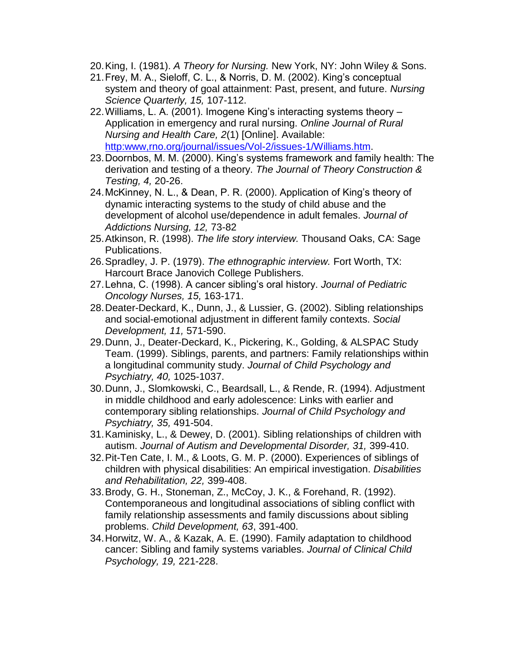- 20.King, I. (1981). *A Theory for Nursing.* New York, NY: John Wiley & Sons.
- 21.Frey, M. A., Sieloff, C. L., & Norris, D. M. (2002). King"s conceptual system and theory of goal attainment: Past, present, and future. *Nursing Science Quarterly, 15,* 107-112.
- 22.Williams, L. A. (2001). Imogene King"s interacting systems theory Application in emergency and rural nursing. *Online Journal of Rural Nursing and Health Care, 2*(1) [Online]. Available: [http:www,rno.org/journal/issues/Vol-2/issues-1/Williams.htm.](http://www,rno.org/journal/issues/Vol-2/issues-1/Williams.htm)
- 23.Doornbos, M. M. (2000). King"s systems framework and family health: The derivation and testing of a theory. *The Journal of Theory Construction & Testing, 4,* 20-26.
- 24.McKinney, N. L., & Dean, P. R. (2000). Application of King"s theory of dynamic interacting systems to the study of child abuse and the development of alcohol use/dependence in adult females. *Journal of Addictions Nursing, 12,* 73-82
- 25.Atkinson, R. (1998). *The life story interview.* Thousand Oaks, CA: Sage Publications.
- 26.Spradley, J. P. (1979). *The ethnographic interview.* Fort Worth, TX: Harcourt Brace Janovich College Publishers.
- 27.Lehna, C. (1998). A cancer sibling"s oral history. *Journal of Pediatric Oncology Nurses, 15,* 163-171.
- 28.Deater-Deckard, K., Dunn, J., & Lussier, G. (2002). Sibling relationships and social-emotional adjustment in different family contexts. *Social Development, 11,* 571-590.
- 29.Dunn, J., Deater-Deckard, K., Pickering, K., Golding, & ALSPAC Study Team. (1999). Siblings, parents, and partners: Family relationships within a longitudinal community study. *Journal of Child Psychology and Psychiatry, 40,* 1025-1037.
- 30.Dunn, J., Slomkowski, C., Beardsall, L., & Rende, R. (1994). Adjustment in middle childhood and early adolescence: Links with earlier and contemporary sibling relationships. *Journal of Child Psychology and Psychiatry, 35,* 491-504.
- 31.Kaminisky, L., & Dewey, D. (2001). Sibling relationships of children with autism. *Journal of Autism and Developmental Disorder, 31,* 399-410.
- 32.Pit-Ten Cate, I. M., & Loots, G. M. P. (2000). Experiences of siblings of children with physical disabilities: An empirical investigation. *Disabilities and Rehabilitation, 22,* 399-408.
- 33.Brody, G. H., Stoneman, Z., McCoy, J. K., & Forehand, R. (1992). Contemporaneous and longitudinal associations of sibling conflict with family relationship assessments and family discussions about sibling problems. *Child Development, 63*, 391-400.
- 34.Horwitz, W. A., & Kazak, A. E. (1990). Family adaptation to childhood cancer: Sibling and family systems variables. *Journal of Clinical Child Psychology, 19,* 221-228.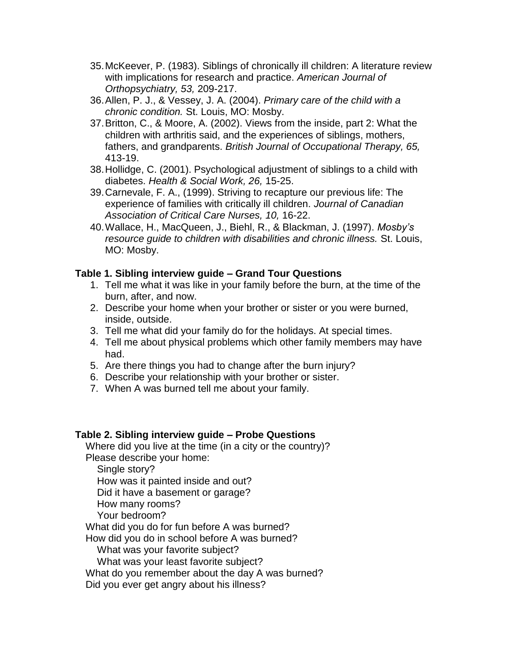- 35.McKeever, P. (1983). Siblings of chronically ill children: A literature review with implications for research and practice. *American Journal of Orthopsychiatry, 53,* 209-217.
- 36.Allen, P. J., & Vessey, J. A. (2004). *Primary care of the child with a chronic condition.* St. Louis, MO: Mosby.
- 37.Britton, C., & Moore, A. (2002). Views from the inside, part 2: What the children with arthritis said, and the experiences of siblings, mothers, fathers, and grandparents. *British Journal of Occupational Therapy, 65,* 413-19.
- 38.Hollidge, C. (2001). Psychological adjustment of siblings to a child with diabetes. *Health & Social Work, 26,* 15-25.
- 39.Carnevale, F. A., (1999). Striving to recapture our previous life: The experience of families with critically ill children. *Journal of Canadian Association of Critical Care Nurses, 10,* 16-22.
- 40.Wallace, H., MacQueen, J., Biehl, R., & Blackman, J. (1997). *Mosby's resource guide to children with disabilities and chronic illness.* St. Louis, MO: Mosby.

# **Table 1. Sibling interview guide – Grand Tour Questions**

- 1. Tell me what it was like in your family before the burn, at the time of the burn, after, and now.
- 2. Describe your home when your brother or sister or you were burned, inside, outside.
- 3. Tell me what did your family do for the holidays. At special times.
- 4. Tell me about physical problems which other family members may have had.
- 5. Are there things you had to change after the burn injury?
- 6. Describe your relationship with your brother or sister.
- 7. When A was burned tell me about your family.

# **Table 2. Sibling interview guide – Probe Questions**

Where did you live at the time (in a city or the country)? Please describe your home:

Single story?

How was it painted inside and out?

Did it have a basement or garage?

How many rooms?

Your bedroom?

What did you do for fun before A was burned?

How did you do in school before A was burned?

What was your favorite subject?

What was your least favorite subject?

What do you remember about the day A was burned?

Did you ever get angry about his illness?